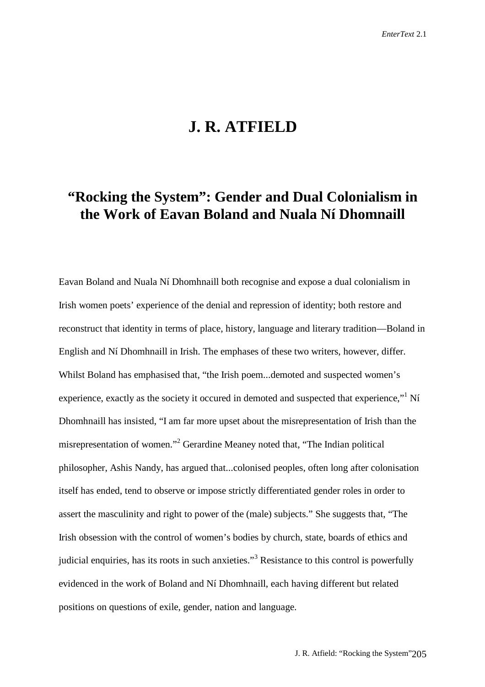## **J. R. ATFIELD**

# **"Rocking the System": Gender and Dual Colonialism in the Work of Eavan Boland and Nuala Ní Dhomnaill**

Eavan Boland and Nuala Ní Dhomhnaill both recognise and expose a dual colonialism in Irish women poets' experience of the denial and repression of identity; both restore and reconstruct that identity in terms of place, history, language and literary tradition—Boland in English and Ní Dhomhnaill in Irish. The emphases of these two writers, however, differ. Whilst Boland has emphasised that, "the Irish poem...demoted and suspected women's experience, exactly as the society it occured in demoted and suspected that experience,"<sup>1</sup> Ní Dhomhnaill has insisted, "I am far more upset about the misrepresentation of Irish than the misrepresentation of women."<sup>2</sup> Gerardine Meaney noted that, "The Indian political philosopher, Ashis Nandy, has argued that...colonised peoples, often long after colonisation itself has ended, tend to observe or impose strictly differentiated gender roles in order to assert the masculinity and right to power of the (male) subjects." She suggests that, "The Irish obsession with the control of women's bodies by church, state, boards of ethics and judicial enquiries, has its roots in such anxieties."<sup>3</sup> Resistance to this control is powerfully evidenced in the work of Boland and Ní Dhomhnaill, each having different but related positions on questions of exile, gender, nation and language.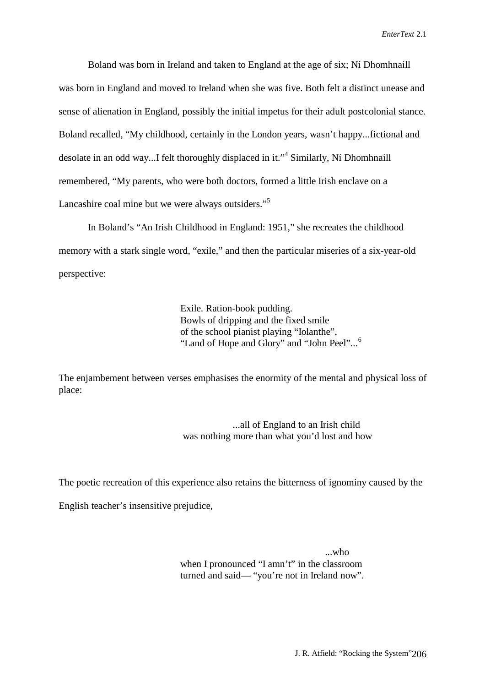Boland was born in Ireland and taken to England at the age of six; Ní Dhomhnaill was born in England and moved to Ireland when she was five. Both felt a distinct unease and sense of alienation in England, possibly the initial impetus for their adult postcolonial stance. Boland recalled, "My childhood, certainly in the London years, wasn't happy...fictional and desolate in an odd way...I felt thoroughly displaced in it."<sup>4</sup> Similarly, Ní Dhomhnaill remembered, "My parents, who were both doctors, formed a little Irish enclave on a Lancashire coal mine but we were always outsiders."<sup>5</sup>

In Boland's "An Irish Childhood in England: 1951," she recreates the childhood memory with a stark single word, "exile," and then the particular miseries of a six-year-old perspective:

> Exile. Ration-book pudding. Bowls of dripping and the fixed smile of the school pianist playing "Iolanthe", "Land of Hope and Glory" and "John Peel"...<sup>6</sup>

The enjambement between verses emphasises the enormity of the mental and physical loss of place:

> ...all of England to an Irish child was nothing more than what you'd lost and how

The poetic recreation of this experience also retains the bitterness of ignominy caused by the

English teacher's insensitive prejudice,

 ...who when I pronounced "I amn't" in the classroom turned and said— "you're not in Ireland now".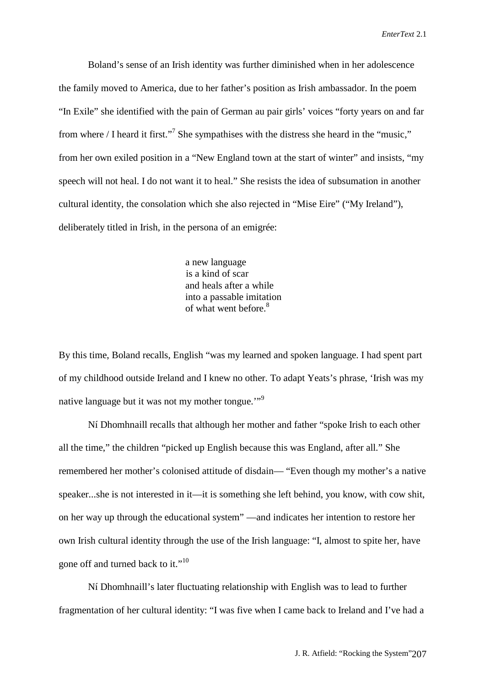Boland's sense of an Irish identity was further diminished when in her adolescence the family moved to America, due to her father's position as Irish ambassador. In the poem "In Exile" she identified with the pain of German au pair girls' voices "forty years on and far from where / I heard it first."<sup>7</sup> She sympathises with the distress she heard in the "music," from her own exiled position in a "New England town at the start of winter" and insists, "my speech will not heal. I do not want it to heal." She resists the idea of subsumation in another cultural identity, the consolation which she also rejected in "Mise Eire" ("My Ireland"), deliberately titled in Irish, in the persona of an emigrée:

> a new language is a kind of scar and heals after a while into a passable imitation of what went before.<sup>8</sup>

By this time, Boland recalls, English "was my learned and spoken language. I had spent part of my childhood outside Ireland and I knew no other. To adapt Yeats's phrase, 'Irish was my native language but it was not my mother tongue."<sup>9</sup>

Ní Dhomhnaill recalls that although her mother and father "spoke Irish to each other all the time," the children "picked up English because this was England, after all." She remembered her mother's colonised attitude of disdain— "Even though my mother's a native speaker...she is not interested in it—it is something she left behind, you know, with cow shit, on her way up through the educational system" —and indicates her intention to restore her own Irish cultural identity through the use of the Irish language: "I, almost to spite her, have gone off and turned back to it."<sup>10</sup>

Ní Dhomhnaill's later fluctuating relationship with English was to lead to further fragmentation of her cultural identity: "I was five when I came back to Ireland and I've had a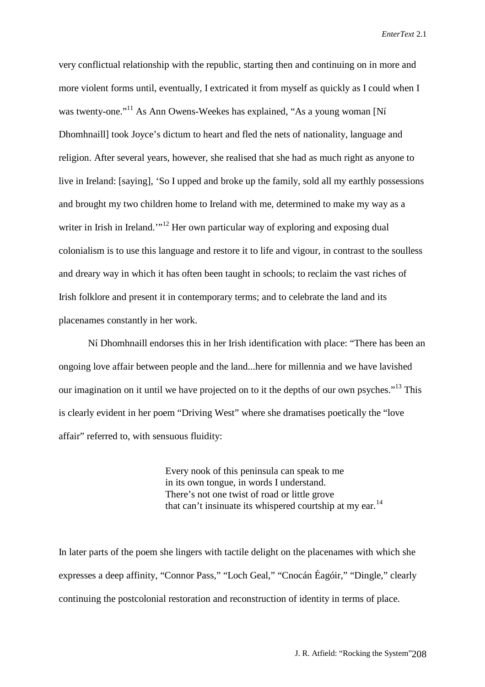very conflictual relationship with the republic, starting then and continuing on in more and more violent forms until, eventually, I extricated it from myself as quickly as I could when I was twenty-one."<sup>11</sup> As Ann Owens-Weekes has explained, "As a young woman [Ní Dhomhnaill] took Joyce's dictum to heart and fled the nets of nationality, language and religion. After several years, however, she realised that she had as much right as anyone to live in Ireland: [saying], 'So I upped and broke up the family, sold all my earthly possessions and brought my two children home to Ireland with me, determined to make my way as a writer in Irish in Ireland.'"<sup>12</sup> Her own particular way of exploring and exposing dual colonialism is to use this language and restore it to life and vigour, in contrast to the soulless and dreary way in which it has often been taught in schools; to reclaim the vast riches of Irish folklore and present it in contemporary terms; and to celebrate the land and its placenames constantly in her work.

Ní Dhomhnaill endorses this in her Irish identification with place: "There has been an ongoing love affair between people and the land...here for millennia and we have lavished our imagination on it until we have projected on to it the depths of our own psyches."<sup>13</sup> This is clearly evident in her poem "Driving West" where she dramatises poetically the "love affair" referred to, with sensuous fluidity:

> Every nook of this peninsula can speak to me in its own tongue, in words I understand. There's not one twist of road or little grove that can't insinuate its whispered courtship at my ear.<sup>14</sup>

In later parts of the poem she lingers with tactile delight on the placenames with which she expresses a deep affinity, "Connor Pass," "Loch Geal," "Cnocán Éagóir," "Dingle," clearly continuing the postcolonial restoration and reconstruction of identity in terms of place.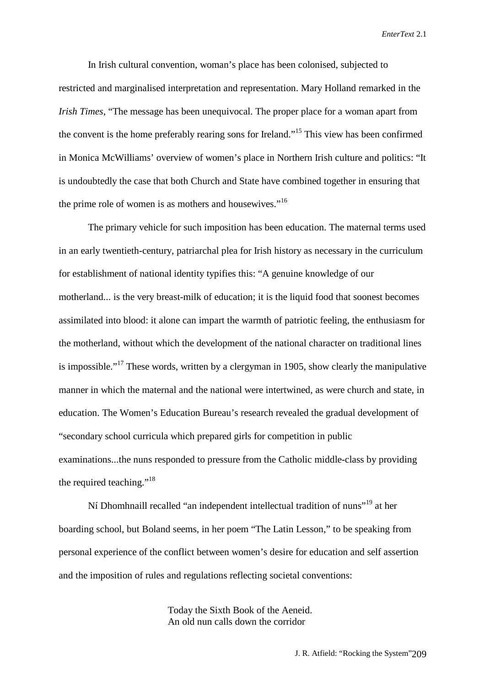In Irish cultural convention, woman's place has been colonised, subjected to restricted and marginalised interpretation and representation. Mary Holland remarked in the *Irish Times*, "The message has been unequivocal. The proper place for a woman apart from the convent is the home preferably rearing sons for Ireland."15 This view has been confirmed in Monica McWilliams' overview of women's place in Northern Irish culture and politics: "It is undoubtedly the case that both Church and State have combined together in ensuring that the prime role of women is as mothers and housewives."<sup>16</sup>

The primary vehicle for such imposition has been education. The maternal terms used in an early twentieth-century, patriarchal plea for Irish history as necessary in the curriculum for establishment of national identity typifies this: "A genuine knowledge of our motherland... is the very breast-milk of education; it is the liquid food that soonest becomes assimilated into blood: it alone can impart the warmth of patriotic feeling, the enthusiasm for the motherland, without which the development of the national character on traditional lines is impossible."<sup>17</sup> These words, written by a clergyman in 1905, show clearly the manipulative manner in which the maternal and the national were intertwined, as were church and state, in education. The Women's Education Bureau's research revealed the gradual development of "secondary school curricula which prepared girls for competition in public examinations...the nuns responded to pressure from the Catholic middle-class by providing the required teaching."<sup>18</sup>

Ní Dhomhnaill recalled "an independent intellectual tradition of nuns"19 at her boarding school, but Boland seems, in her poem "The Latin Lesson," to be speaking from personal experience of the conflict between women's desire for education and self assertion and the imposition of rules and regulations reflecting societal conventions:

> Today the Sixth Book of the Aeneid. An old nun calls down the corridor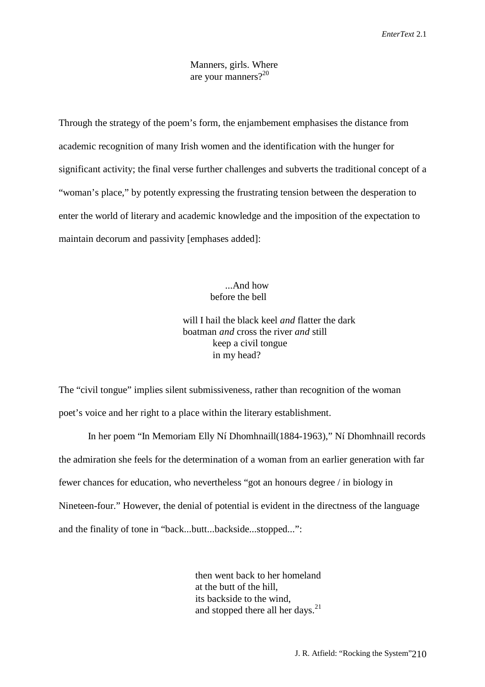## Manners, girls. Where are your manners?20

Through the strategy of the poem's form, the enjambement emphasises the distance from academic recognition of many Irish women and the identification with the hunger for significant activity; the final verse further challenges and subverts the traditional concept of a "woman's place," by potently expressing the frustrating tension between the desperation to enter the world of literary and academic knowledge and the imposition of the expectation to maintain decorum and passivity [emphases added]:

## ...And how before the bell

 will I hail the black keel *and* flatter the dark boatman *and* cross the river *and* still keep a civil tongue in my head?

The "civil tongue" implies silent submissiveness, rather than recognition of the woman poet's voice and her right to a place within the literary establishment.

In her poem "In Memoriam Elly Ní Dhomhnaill(1884-1963)," Ní Dhomhnaill records the admiration she feels for the determination of a woman from an earlier generation with far fewer chances for education, who nevertheless "got an honours degree / in biology in Nineteen-four." However, the denial of potential is evident in the directness of the language and the finality of tone in "back...butt...backside...stopped...":

> then went back to her homeland at the butt of the hill, its backside to the wind, and stopped there all her days.<sup>21</sup>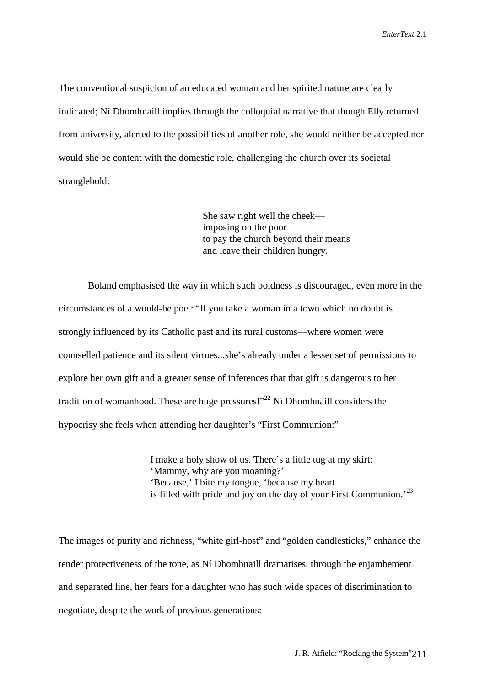The conventional suspicion of an educated woman and her spirited nature are clearly indicated; Ní Dhomhnaill implies through the colloquial narrative that though Elly returned from university, alerted to the possibilities of another role, she would neither be accepted nor would she be content with the domestic role, challenging the church over its societal stranglehold:

> She saw right well the cheek imposing on the poor to pay the church beyond their means and leave their children hungry.

Boland emphasised the way in which such boldness is discouraged, even more in the circumstances of a would-be poet: "If you take a woman in a town which no doubt is strongly influenced by its Catholic past and its rural customs—where women were counselled patience and its silent virtues...she's already under a lesser set of permissions to explore her own gift and a greater sense of inferences that that gift is dangerous to her tradition of womanhood. These are huge pressures!"<sup>22</sup> Ní Dhomhnaill considers the hypocrisy she feels when attending her daughter's "First Communion:"

> I make a holy show of us. There's a little tug at my skirt: 'Mammy, why are you moaning?' 'Because,' I bite my tongue, 'because my heart is filled with pride and joy on the day of your First Communion.<sup>23</sup>

The images of purity and richness, "white girl-host" and "golden candlesticks," enhance the tender protectiveness of the tone, as Ní Dhomhnaill dramatises, through the enjambement and separated line, her fears for a daughter who has such wide spaces of discrimination to negotiate, despite the work of previous generations: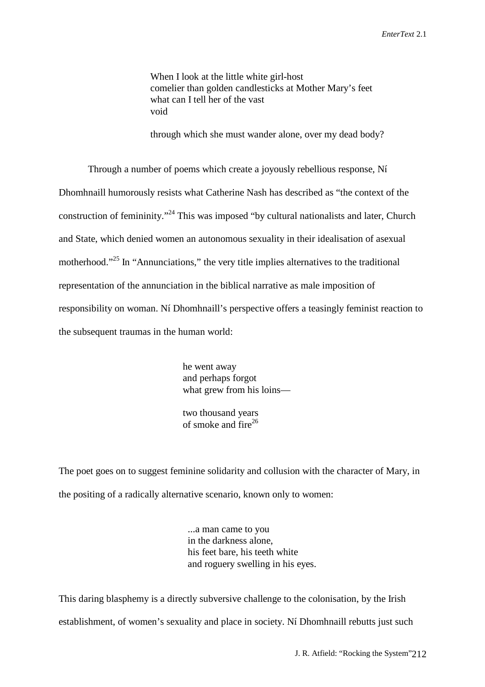When I look at the little white girl-host comelier than golden candlesticks at Mother Mary's feet what can I tell her of the vast void

through which she must wander alone, over my dead body?

Through a number of poems which create a joyously rebellious response, Ní Dhomhnaill humorously resists what Catherine Nash has described as "the context of the construction of femininity."24 This was imposed "by cultural nationalists and later, Church and State, which denied women an autonomous sexuality in their idealisation of asexual motherhood."<sup>25</sup> In "Annunciations," the very title implies alternatives to the traditional representation of the annunciation in the biblical narrative as male imposition of responsibility on woman. Ní Dhomhnaill's perspective offers a teasingly feminist reaction to the subsequent traumas in the human world:

> he went away and perhaps forgot what grew from his loins—

 two thousand years of smoke and  $\frac{1}{26}$ 

The poet goes on to suggest feminine solidarity and collusion with the character of Mary, in the positing of a radically alternative scenario, known only to women:

> ...a man came to you in the darkness alone, his feet bare, his teeth white and roguery swelling in his eyes.

This daring blasphemy is a directly subversive challenge to the colonisation, by the Irish establishment, of women's sexuality and place in society. Ní Dhomhnaill rebutts just such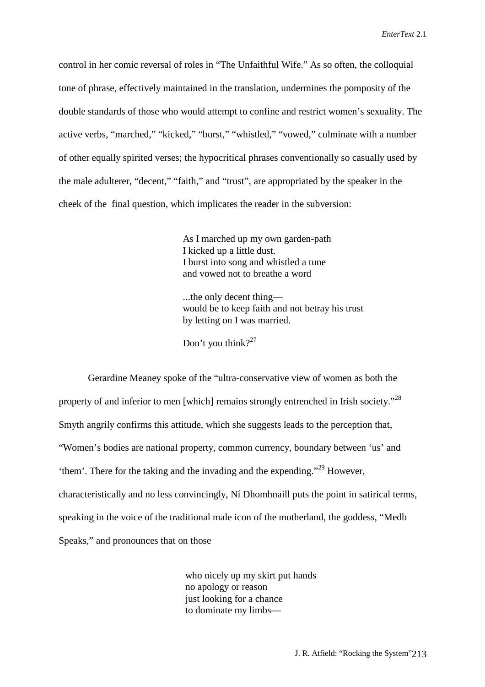control in her comic reversal of roles in "The Unfaithful Wife." As so often, the colloquial tone of phrase, effectively maintained in the translation, undermines the pomposity of the double standards of those who would attempt to confine and restrict women's sexuality. The active verbs, "marched," "kicked," "burst," "whistled," "vowed," culminate with a number of other equally spirited verses; the hypocritical phrases conventionally so casually used by the male adulterer, "decent," "faith," and "trust", are appropriated by the speaker in the cheek of the final question, which implicates the reader in the subversion:

> As I marched up my own garden-path I kicked up a little dust. I burst into song and whistled a tune and vowed not to breathe a word

 ...the only decent thing would be to keep faith and not betray his trust by letting on I was married.

Don't you think?<sup>27</sup>

Gerardine Meaney spoke of the "ultra-conservative view of women as both the property of and inferior to men [which] remains strongly entrenched in Irish society."<sup>28</sup> Smyth angrily confirms this attitude, which she suggests leads to the perception that, "Women's bodies are national property, common currency, boundary between 'us' and 'them'. There for the taking and the invading and the expending."<sup>29</sup> However, characteristically and no less convincingly, Ní Dhomhnaill puts the point in satirical terms, speaking in the voice of the traditional male icon of the motherland, the goddess, "Medb Speaks," and pronounces that on those

> who nicely up my skirt put hands no apology or reason just looking for a chance to dominate my limbs—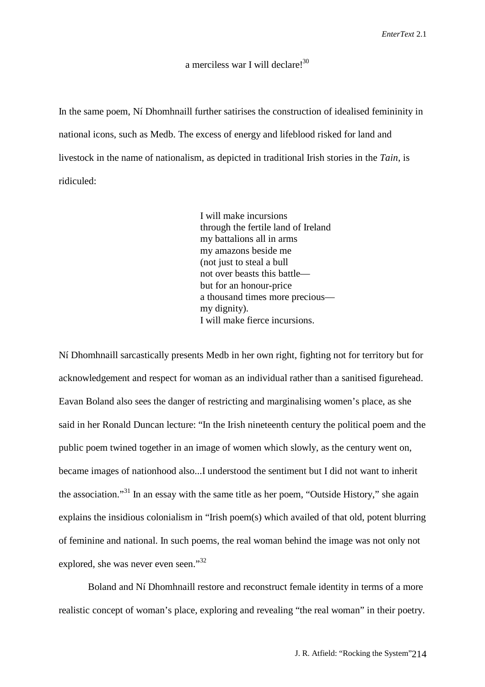## a merciless war I will declare!<sup>30</sup>

In the same poem, Ní Dhomhnaill further satirises the construction of idealised femininity in national icons, such as Medb. The excess of energy and lifeblood risked for land and livestock in the name of nationalism, as depicted in traditional Irish stories in the *Tain*, is ridiculed:

> I will make incursions through the fertile land of Ireland my battalions all in arms my amazons beside me (not just to steal a bull not over beasts this battle but for an honour-price a thousand times more precious my dignity). I will make fierce incursions.

Ní Dhomhnaill sarcastically presents Medb in her own right, fighting not for territory but for acknowledgement and respect for woman as an individual rather than a sanitised figurehead. Eavan Boland also sees the danger of restricting and marginalising women's place, as she said in her Ronald Duncan lecture: "In the Irish nineteenth century the political poem and the public poem twined together in an image of women which slowly, as the century went on, became images of nationhood also...I understood the sentiment but I did not want to inherit the association."31 In an essay with the same title as her poem, "Outside History," she again explains the insidious colonialism in "Irish poem(s) which availed of that old, potent blurring of feminine and national. In such poems, the real woman behind the image was not only not explored, she was never even seen."<sup>32</sup>

Boland and Ní Dhomhnaill restore and reconstruct female identity in terms of a more realistic concept of woman's place, exploring and revealing "the real woman" in their poetry.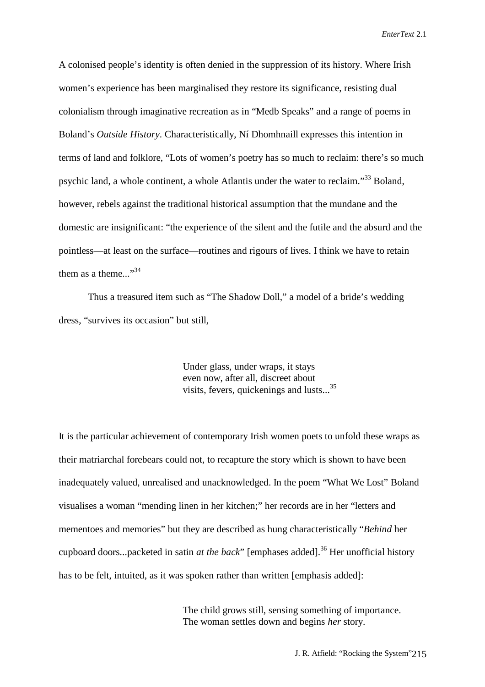A colonised people's identity is often denied in the suppression of its history. Where Irish women's experience has been marginalised they restore its significance, resisting dual colonialism through imaginative recreation as in "Medb Speaks" and a range of poems in Boland's *Outside History*. Characteristically, Ní Dhomhnaill expresses this intention in terms of land and folklore, "Lots of women's poetry has so much to reclaim: there's so much psychic land, a whole continent, a whole Atlantis under the water to reclaim."33 Boland, however, rebels against the traditional historical assumption that the mundane and the domestic are insignificant: "the experience of the silent and the futile and the absurd and the pointless—at least on the surface—routines and rigours of lives. I think we have to retain them as a theme..."<sup>34</sup>

Thus a treasured item such as "The Shadow Doll," a model of a bride's wedding dress, "survives its occasion" but still,

> Under glass, under wraps, it stays even now, after all, discreet about visits, fevers, quickenings and lusts...<sup>35</sup>

It is the particular achievement of contemporary Irish women poets to unfold these wraps as their matriarchal forebears could not, to recapture the story which is shown to have been inadequately valued, unrealised and unacknowledged. In the poem "What We Lost" Boland visualises a woman "mending linen in her kitchen;" her records are in her "letters and mementoes and memories" but they are described as hung characteristically "*Behind* her cupboard doors...packeted in satin *at the back*" [emphases added].<sup>36</sup> Her unofficial history has to be felt, intuited, as it was spoken rather than written [emphasis added]:

> The child grows still, sensing something of importance. The woman settles down and begins *her* story.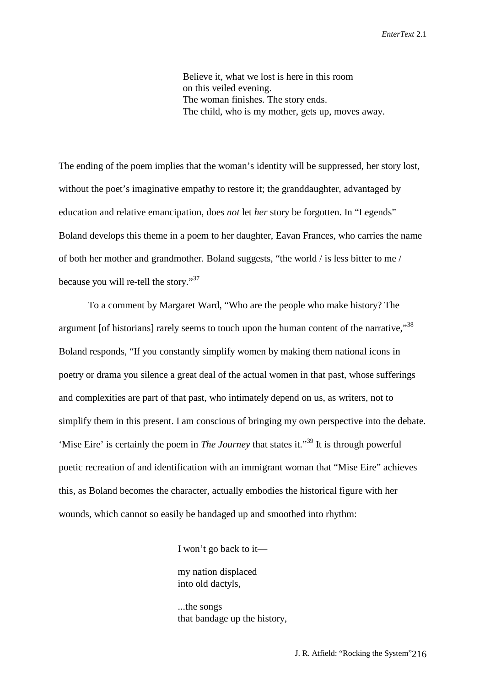Believe it, what we lost is here in this room on this veiled evening. The woman finishes. The story ends. The child, who is my mother, gets up, moves away.

The ending of the poem implies that the woman's identity will be suppressed, her story lost, without the poet's imaginative empathy to restore it; the granddaughter, advantaged by education and relative emancipation, does *not* let *her* story be forgotten. In "Legends" Boland develops this theme in a poem to her daughter, Eavan Frances, who carries the name of both her mother and grandmother. Boland suggests, "the world / is less bitter to me / because you will re-tell the story."<sup>37</sup>

To a comment by Margaret Ward, "Who are the people who make history? The argument [of historians] rarely seems to touch upon the human content of the narrative,"<sup>38</sup> Boland responds, "If you constantly simplify women by making them national icons in poetry or drama you silence a great deal of the actual women in that past, whose sufferings and complexities are part of that past, who intimately depend on us, as writers, not to simplify them in this present. I am conscious of bringing my own perspective into the debate. 'Mise Eire' is certainly the poem in *The Journey* that states it."39 It is through powerful poetic recreation of and identification with an immigrant woman that "Mise Eire" achieves this, as Boland becomes the character, actually embodies the historical figure with her wounds, which cannot so easily be bandaged up and smoothed into rhythm:

I won't go back to it—

 my nation displaced into old dactyls,

 ...the songs that bandage up the history,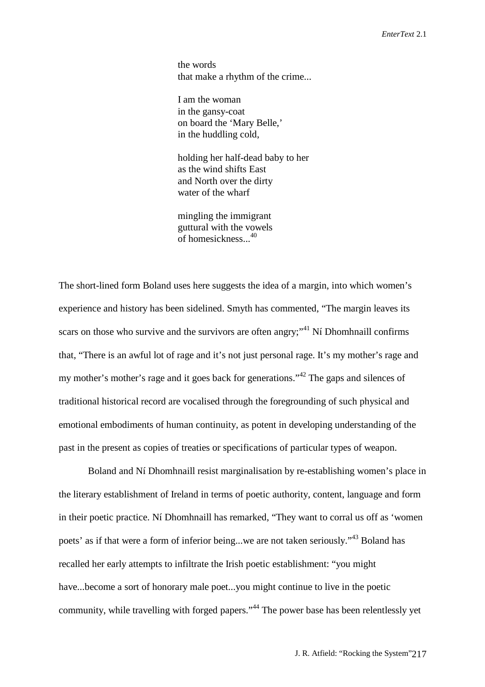the words that make a rhythm of the crime...

 I am the woman in the gansy-coat on board the 'Mary Belle,' in the huddling cold,

 holding her half-dead baby to her as the wind shifts East and North over the dirty water of the wharf

 mingling the immigrant guttural with the vowels of homesickness...<sup>40</sup>

The short-lined form Boland uses here suggests the idea of a margin, into which women's experience and history has been sidelined. Smyth has commented, "The margin leaves its scars on those who survive and the survivors are often angry;"<sup>41</sup> Ní Dhomhnaill confirms that, "There is an awful lot of rage and it's not just personal rage. It's my mother's rage and my mother's mother's rage and it goes back for generations."<sup>42</sup> The gaps and silences of traditional historical record are vocalised through the foregrounding of such physical and emotional embodiments of human continuity, as potent in developing understanding of the past in the present as copies of treaties or specifications of particular types of weapon.

Boland and Ní Dhomhnaill resist marginalisation by re-establishing women's place in the literary establishment of Ireland in terms of poetic authority, content, language and form in their poetic practice. Ní Dhomhnaill has remarked, "They want to corral us off as 'women poets' as if that were a form of inferior being...we are not taken seriously."43 Boland has recalled her early attempts to infiltrate the Irish poetic establishment: "you might have...become a sort of honorary male poet...you might continue to live in the poetic community, while travelling with forged papers."44 The power base has been relentlessly yet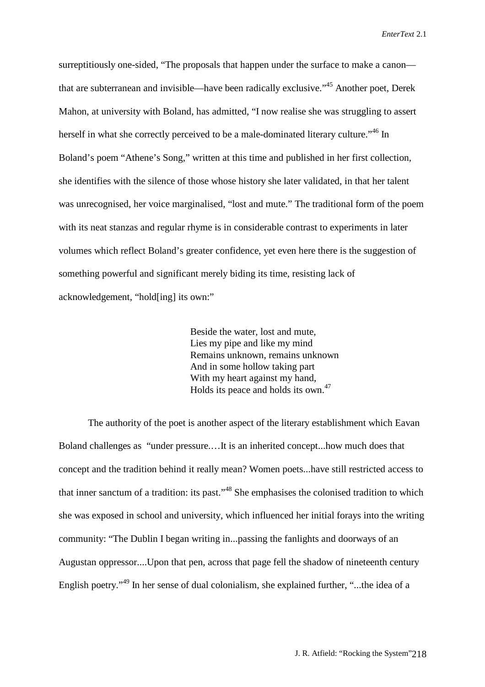surreptitiously one-sided, "The proposals that happen under the surface to make a canon that are subterranean and invisible—have been radically exclusive."45 Another poet, Derek Mahon, at university with Boland, has admitted, "I now realise she was struggling to assert herself in what she correctly perceived to be a male-dominated literary culture.<sup>46</sup> In Boland's poem "Athene's Song," written at this time and published in her first collection, she identifies with the silence of those whose history she later validated, in that her talent was unrecognised, her voice marginalised, "lost and mute." The traditional form of the poem with its neat stanzas and regular rhyme is in considerable contrast to experiments in later volumes which reflect Boland's greater confidence, yet even here there is the suggestion of something powerful and significant merely biding its time, resisting lack of acknowledgement, "hold[ing] its own:"

> Beside the water, lost and mute, Lies my pipe and like my mind Remains unknown, remains unknown And in some hollow taking part With my heart against my hand, Holds its peace and holds its own.<sup>47</sup>

The authority of the poet is another aspect of the literary establishment which Eavan Boland challenges as "under pressure.…It is an inherited concept...how much does that concept and the tradition behind it really mean? Women poets...have still restricted access to that inner sanctum of a tradition: its past."48 She emphasises the colonised tradition to which she was exposed in school and university, which influenced her initial forays into the writing community: "The Dublin I began writing in...passing the fanlights and doorways of an Augustan oppressor....Upon that pen, across that page fell the shadow of nineteenth century English poetry."<sup>49</sup> In her sense of dual colonialism, she explained further, "...the idea of a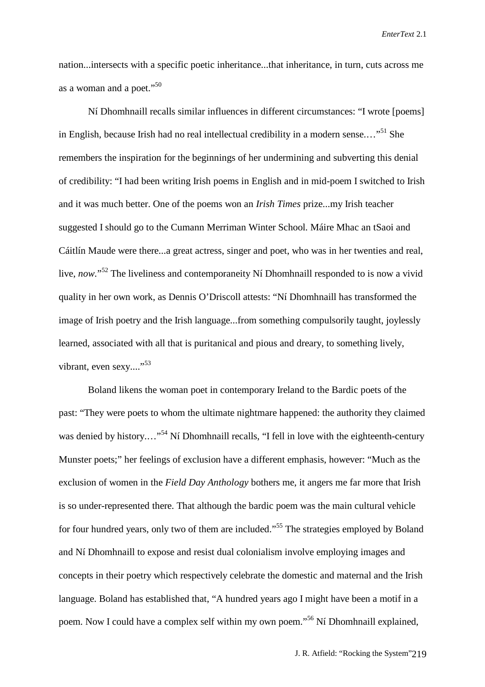nation...intersects with a specific poetic inheritance...that inheritance, in turn, cuts across me as a woman and a poet."<sup>50</sup>

Ní Dhomhnaill recalls similar influences in different circumstances: "I wrote [poems] in English, because Irish had no real intellectual credibility in a modern sense...."<sup>51</sup> She remembers the inspiration for the beginnings of her undermining and subverting this denial of credibility: "I had been writing Irish poems in English and in mid-poem I switched to Irish and it was much better. One of the poems won an *Irish Times* prize...my Irish teacher suggested I should go to the Cumann Merriman Winter School. Máire Mhac an tSaoi and Cáitlín Maude were there...a great actress, singer and poet, who was in her twenties and real, live, *now*."<sup>52</sup> The liveliness and contemporaneity Ní Dhomhnaill responded to is now a vivid quality in her own work, as Dennis O'Driscoll attests: "Ní Dhomhnaill has transformed the image of Irish poetry and the Irish language...from something compulsorily taught, joylessly learned, associated with all that is puritanical and pious and dreary, to something lively, vibrant, even sexy...."<sup>53</sup>

Boland likens the woman poet in contemporary Ireland to the Bardic poets of the past: "They were poets to whom the ultimate nightmare happened: the authority they claimed was denied by history...."<sup>54</sup> Ní Dhomhnaill recalls, "I fell in love with the eighteenth-century Munster poets;" her feelings of exclusion have a different emphasis, however: "Much as the exclusion of women in the *Field Day Anthology* bothers me, it angers me far more that Irish is so under-represented there. That although the bardic poem was the main cultural vehicle for four hundred years, only two of them are included."<sup>55</sup> The strategies employed by Boland and Ní Dhomhnaill to expose and resist dual colonialism involve employing images and concepts in their poetry which respectively celebrate the domestic and maternal and the Irish language. Boland has established that, "A hundred years ago I might have been a motif in a poem. Now I could have a complex self within my own poem."56 Ní Dhomhnaill explained,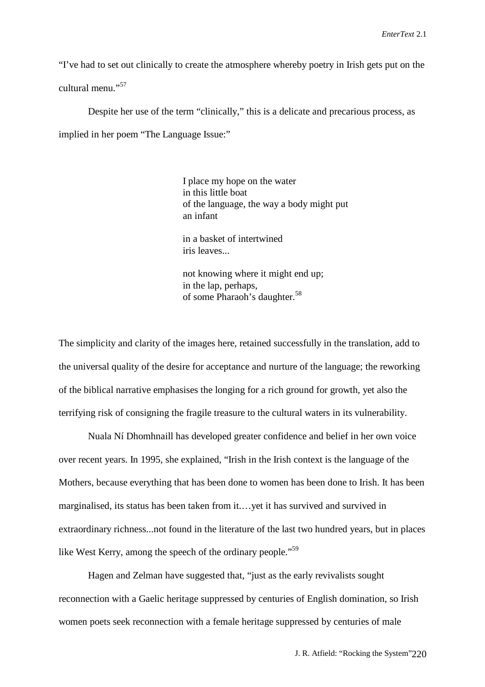"I've had to set out clinically to create the atmosphere whereby poetry in Irish gets put on the cultural menu<sup>"</sup>

Despite her use of the term "clinically," this is a delicate and precarious process, as implied in her poem "The Language Issue:"

> I place my hope on the water in this little boat of the language, the way a body might put an infant

 in a basket of intertwined iris leaves...

 not knowing where it might end up; in the lap, perhaps, of some Pharaoh's daughter.<sup>58</sup>

The simplicity and clarity of the images here, retained successfully in the translation, add to the universal quality of the desire for acceptance and nurture of the language; the reworking of the biblical narrative emphasises the longing for a rich ground for growth, yet also the terrifying risk of consigning the fragile treasure to the cultural waters in its vulnerability.

Nuala Ní Dhomhnaill has developed greater confidence and belief in her own voice over recent years. In 1995, she explained, "Irish in the Irish context is the language of the Mothers, because everything that has been done to women has been done to Irish. It has been marginalised, its status has been taken from it.…yet it has survived and survived in extraordinary richness...not found in the literature of the last two hundred years, but in places like West Kerry, among the speech of the ordinary people."<sup>59</sup>

Hagen and Zelman have suggested that, "just as the early revivalists sought reconnection with a Gaelic heritage suppressed by centuries of English domination, so Irish women poets seek reconnection with a female heritage suppressed by centuries of male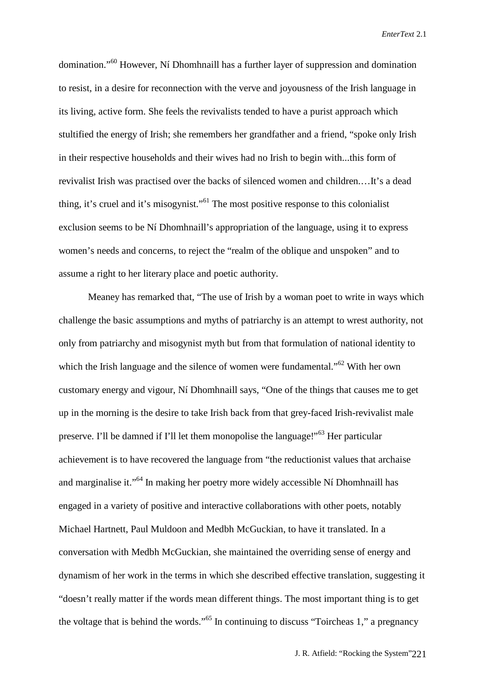domination."60 However, Ní Dhomhnaill has a further layer of suppression and domination to resist, in a desire for reconnection with the verve and joyousness of the Irish language in its living, active form. She feels the revivalists tended to have a purist approach which stultified the energy of Irish; she remembers her grandfather and a friend, "spoke only Irish in their respective households and their wives had no Irish to begin with...this form of revivalist Irish was practised over the backs of silenced women and children.…It's a dead thing, it's cruel and it's misogynist."61 The most positive response to this colonialist exclusion seems to be Ní Dhomhnaill's appropriation of the language, using it to express women's needs and concerns, to reject the "realm of the oblique and unspoken" and to assume a right to her literary place and poetic authority.

Meaney has remarked that, "The use of Irish by a woman poet to write in ways which challenge the basic assumptions and myths of patriarchy is an attempt to wrest authority, not only from patriarchy and misogynist myth but from that formulation of national identity to which the Irish language and the silence of women were fundamental."<sup>62</sup> With her own customary energy and vigour, Ní Dhomhnaill says, "One of the things that causes me to get up in the morning is the desire to take Irish back from that grey-faced Irish-revivalist male preserve. I'll be damned if I'll let them monopolise the language!"63 Her particular achievement is to have recovered the language from "the reductionist values that archaise and marginalise it."64 In making her poetry more widely accessible Ní Dhomhnaill has engaged in a variety of positive and interactive collaborations with other poets, notably Michael Hartnett, Paul Muldoon and Medbh McGuckian, to have it translated. In a conversation with Medbh McGuckian, she maintained the overriding sense of energy and dynamism of her work in the terms in which she described effective translation, suggesting it "doesn't really matter if the words mean different things. The most important thing is to get the voltage that is behind the words."65 In continuing to discuss "Toircheas 1," a pregnancy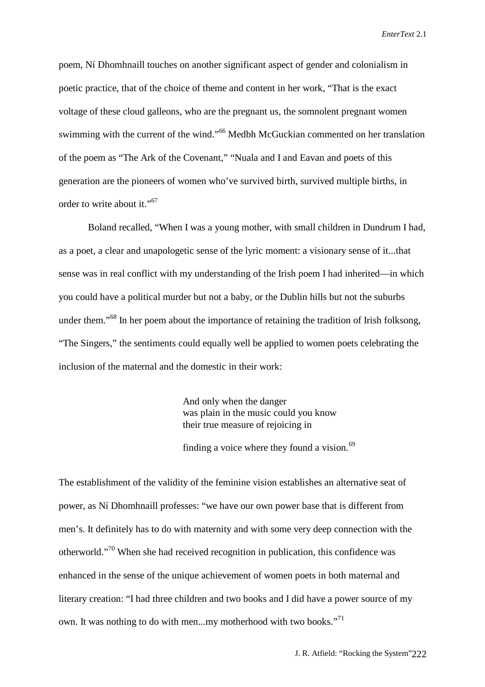poem, Ní Dhomhnaill touches on another significant aspect of gender and colonialism in poetic practice, that of the choice of theme and content in her work, "That is the exact voltage of these cloud galleons, who are the pregnant us, the somnolent pregnant women swimming with the current of the wind."<sup>66</sup> Medbh McGuckian commented on her translation of the poem as "The Ark of the Covenant," "Nuala and I and Eavan and poets of this generation are the pioneers of women who've survived birth, survived multiple births, in order to write about it."<sup>67</sup>

Boland recalled, "When I was a young mother, with small children in Dundrum I had, as a poet, a clear and unapologetic sense of the lyric moment: a visionary sense of it...that sense was in real conflict with my understanding of the Irish poem I had inherited—in which you could have a political murder but not a baby, or the Dublin hills but not the suburbs under them."<sup>68</sup> In her poem about the importance of retaining the tradition of Irish folksong, "The Singers," the sentiments could equally well be applied to women poets celebrating the inclusion of the maternal and the domestic in their work:

> And only when the danger was plain in the music could you know their true measure of rejoicing in

finding a voice where they found a vision. $69$ 

The establishment of the validity of the feminine vision establishes an alternative seat of power, as Ní Dhomhnaill professes: "we have our own power base that is different from men's. It definitely has to do with maternity and with some very deep connection with the otherworld."70 When she had received recognition in publication, this confidence was enhanced in the sense of the unique achievement of women poets in both maternal and literary creation: "I had three children and two books and I did have a power source of my own. It was nothing to do with men...my motherhood with two books."<sup>71</sup>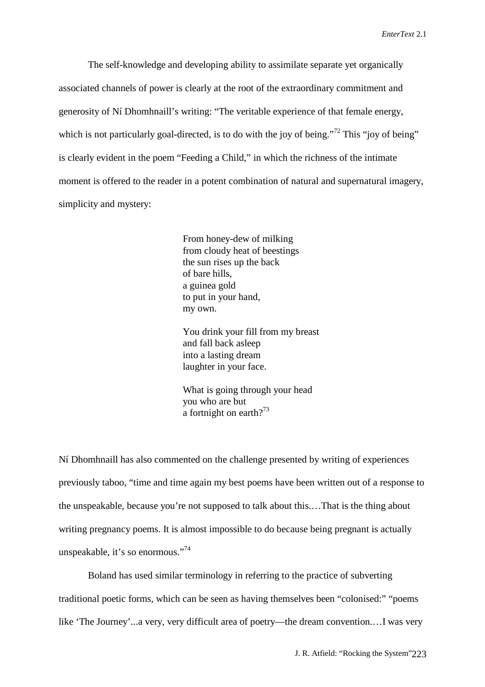The self-knowledge and developing ability to assimilate separate yet organically associated channels of power is clearly at the root of the extraordinary commitment and generosity of Ní Dhomhnaill's writing: "The veritable experience of that female energy, which is not particularly goal-directed, is to do with the joy of being.<sup> $272$ </sup> This "joy of being" is clearly evident in the poem "Feeding a Child," in which the richness of the intimate moment is offered to the reader in a potent combination of natural and supernatural imagery, simplicity and mystery:

> From honey-dew of milking from cloudy heat of beestings the sun rises up the back of bare hills, a guinea gold to put in your hand, my own.

 You drink your fill from my breast and fall back asleep into a lasting dream laughter in your face.

 What is going through your head you who are but a fortnight on earth?<sup>73</sup>

Ní Dhomhnaill has also commented on the challenge presented by writing of experiences previously taboo, "time and time again my best poems have been written out of a response to the unspeakable, because you're not supposed to talk about this.…That is the thing about writing pregnancy poems. It is almost impossible to do because being pregnant is actually unspeakable, it's so enormous."<sup>74</sup>

Boland has used similar terminology in referring to the practice of subverting traditional poetic forms, which can be seen as having themselves been "colonised:" "poems like 'The Journey'...a very, very difficult area of poetry—the dream convention.…I was very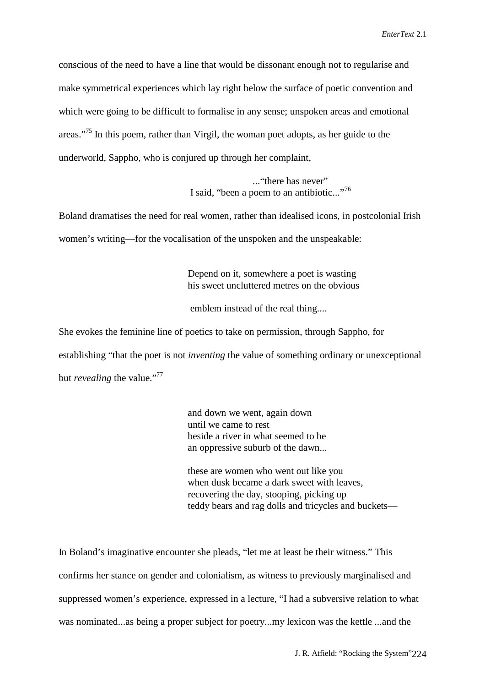conscious of the need to have a line that would be dissonant enough not to regularise and make symmetrical experiences which lay right below the surface of poetic convention and which were going to be difficult to formalise in any sense; unspoken areas and emotional areas."<sup>75</sup> In this poem, rather than Virgil, the woman poet adopts, as her guide to the underworld, Sappho, who is conjured up through her complaint,

> ... "there has never" I said, "been a poem to an antibiotic..."<sup>76</sup>

Boland dramatises the need for real women, rather than idealised icons, in postcolonial Irish women's writing—for the vocalisation of the unspoken and the unspeakable:

> Depend on it, somewhere a poet is wasting his sweet uncluttered metres on the obvious

emblem instead of the real thing....

She evokes the feminine line of poetics to take on permission, through Sappho, for establishing "that the poet is not *inventing* the value of something ordinary or unexceptional but *revealing* the value."<sup>77</sup>

> and down we went, again down until we came to rest beside a river in what seemed to be an oppressive suburb of the dawn...

 these are women who went out like you when dusk became a dark sweet with leaves, recovering the day, stooping, picking up teddy bears and rag dolls and tricycles and buckets—

In Boland's imaginative encounter she pleads, "let me at least be their witness." This confirms her stance on gender and colonialism, as witness to previously marginalised and suppressed women's experience, expressed in a lecture, "I had a subversive relation to what was nominated...as being a proper subject for poetry...my lexicon was the kettle ...and the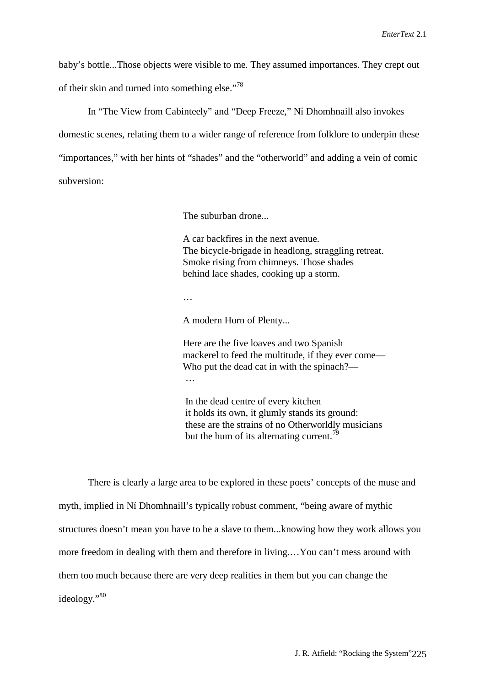baby's bottle...Those objects were visible to me. They assumed importances. They crept out of their skin and turned into something else."<sup>78</sup>

In "The View from Cabinteely" and "Deep Freeze," Ní Dhomhnaill also invokes domestic scenes, relating them to a wider range of reference from folklore to underpin these "importances," with her hints of "shades" and the "otherworld" and adding a vein of comic subversion:

The suburban drone...

 A car backfires in the next avenue. The bicycle-brigade in headlong, straggling retreat. Smoke rising from chimneys. Those shades behind lace shades, cooking up a storm.

…

A modern Horn of Plenty...

 Here are the five loaves and two Spanish mackerel to feed the multitude, if they ever come— Who put the dead cat in with the spinach?— …

> In the dead centre of every kitchen it holds its own, it glumly stands its ground: these are the strains of no Otherworldly musicians but the hum of its alternating current.<sup>79</sup>

There is clearly a large area to be explored in these poets' concepts of the muse and myth, implied in Ní Dhomhnaill's typically robust comment, "being aware of mythic structures doesn't mean you have to be a slave to them...knowing how they work allows you more freedom in dealing with them and therefore in living.…You can't mess around with them too much because there are very deep realities in them but you can change the ideology."80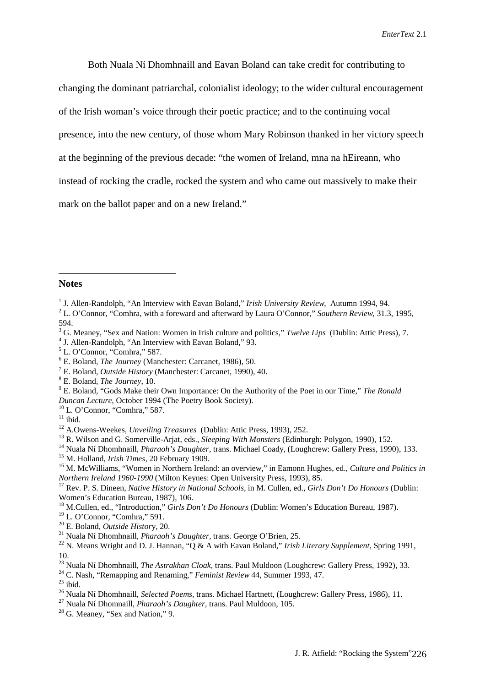Both Nuala Ní Dhomhnaill and Eavan Boland can take credit for contributing to changing the dominant patriarchal, colonialist ideology; to the wider cultural encouragement of the Irish woman's voice through their poetic practice; and to the continuing vocal presence, into the new century, of those whom Mary Robinson thanked in her victory speech at the beginning of the previous decade: "the women of Ireland, mna na hEireann, who instead of rocking the cradle, rocked the system and who came out massively to make their mark on the ballot paper and on a new Ireland."

#### **Notes**

 $\overline{a}$ 

<sup>4</sup> J. Allen-Randolph, "An Interview with Eavan Boland," 93.

- 8 E. Boland, *The Journey*, 10.
- 9 E. Boland, "Gods Make their Own Importance: On the Authority of the Poet in our Time," *The Ronald Duncan Lecture*, October 1994 (The Poetry Book Society).
- 10 L. O'Connor, "Comhra," 587.

 $11$  ibid.

<sup>14</sup> Nuala Ní Dhomhnaill, *Pharaoh's Daughter*, trans. Michael Coady, (Loughcrew: Gallery Press, 1990), 133. 15 M. Holland, *Irish Times*, 20 February 1909.

19 L. O'Connor, "Comhra," 591.

- 20 E. Boland, *Outside Histor*y, 20.
- <sup>21</sup> Nuala Ní Dhomhnaill, *Pharaoh's Daughter,* trans. George O'Brien, 25.

- <sup>23</sup> Nuala Ní Dhomhnaill, *The Astrakhan Cloak,* trans. Paul Muldoon (Loughcrew: Gallery Press, 1992), 33.
- 24 C. Nash, "Remapping and Renaming," *Feminist Review* 44, Summer 1993, 47.

 $25$  ibid.

- <sup>26</sup> Nuala Ní Dhomhnaill, *Selected Poems,* trans. Michael Hartnett, (Loughcrew: Gallery Press, 1986), 11.
- <sup>27</sup> Nuala Ní Dhomnaill, *Pharaoh's Daughter,* trans. Paul Muldoon, 105.
- $28$  G. Meaney, "Sex and Nation," 9.

<sup>&</sup>lt;sup>1</sup> J. Allen-Randolph, "An Interview with Eavan Boland," *Irish University Review*, Autumn 1994, 94.

<sup>2</sup> L. O'Connor, "Comhra, with a foreward and afterward by Laura O'Connor," *Southern Review*, 31.3, 1995, 594.

<sup>3</sup> G. Meaney, "Sex and Nation: Women in Irish culture and politics," *Twelve Lips* (Dublin: Attic Press), 7.

 $<sup>5</sup>$  L. O'Connor, "Comhra," 587.</sup>

<sup>6</sup> E. Boland, *The Journey* (Manchester: Carcanet, 1986), 50.

<sup>7</sup> E. Boland, *Outside History* (Manchester: Carcanet, 1990), 40.

<sup>12</sup> A.Owens-Weekes, *Unveiling Treasures* (Dublin: Attic Press, 1993), 252.

<sup>13</sup> R. Wilson and G. Somerville-Arjat, eds., *Sleeping With Monsters* (Edinburgh: Polygon, 1990), 152.

<sup>16</sup> M. McWilliams, "Women in Northern Ireland: an overview," in Eamonn Hughes, ed., *Culture and Politics in Northern Ireland 1960-1990* (Milton Keynes: Open University Press, 1993), 85.

<sup>17</sup> Rev. P. S. Dineen, *Native History in National Schools,* in M. Cullen, ed., *Girls Don't Do Honours* (Dublin: Women's Education Bureau, 1987), 106.

<sup>18</sup> M.Cullen, ed., "Introduction," *Girls Don't Do Honours* (Dublin: Women's Education Bureau, 1987).

<sup>22</sup> N. Means Wright and D. J. Hannan, "Q & A with Eavan Boland," *Irish Literary Supplement*, Spring 1991, 10.